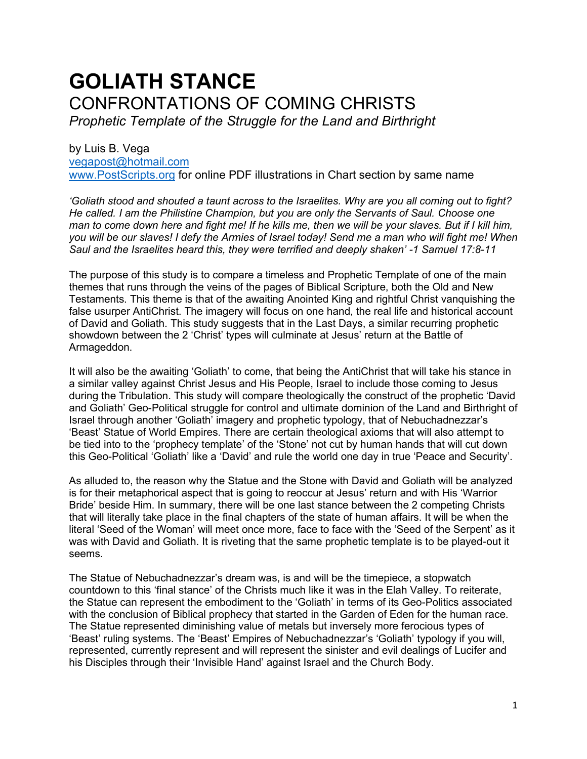# **GOLIATH STANCE** CONFRONTATIONS OF COMING CHRISTS *Prophetic Template of the Struggle for the Land and Birthright*

by Luis B. Vega [vegapost@hotmail.com](mailto:vegapost@hotmail.com) [www.PostScripts.org](http://www.postscripts.org/) for online PDF illustrations in Chart section by same name

*'Goliath stood and shouted a taunt across to the Israelites. Why are you all coming out to fight? He called. I am the Philistine Champion, but you are only the Servants of Saul. Choose one man to come down here and fight me! If he kills me, then we will be your slaves. But if I kill him, you will be our slaves! I defy the Armies of Israel today! Send me a man who will fight me! When Saul and the Israelites heard this, they were terrified and deeply shaken' -1 Samuel 17:8-11*

The purpose of this study is to compare a timeless and Prophetic Template of one of the main themes that runs through the veins of the pages of Biblical Scripture, both the Old and New Testaments. This theme is that of the awaiting Anointed King and rightful Christ vanquishing the false usurper AntiChrist. The imagery will focus on one hand, the real life and historical account of David and Goliath. This study suggests that in the Last Days, a similar recurring prophetic showdown between the 2 'Christ' types will culminate at Jesus' return at the Battle of Armageddon.

It will also be the awaiting 'Goliath' to come, that being the AntiChrist that will take his stance in a similar valley against Christ Jesus and His People, Israel to include those coming to Jesus during the Tribulation. This study will compare theologically the construct of the prophetic 'David and Goliath' Geo-Political struggle for control and ultimate dominion of the Land and Birthright of Israel through another 'Goliath' imagery and prophetic typology, that of Nebuchadnezzar's 'Beast' Statue of World Empires. There are certain theological axioms that will also attempt to be tied into to the 'prophecy template' of the 'Stone' not cut by human hands that will cut down this Geo-Political 'Goliath' like a 'David' and rule the world one day in true 'Peace and Security'.

As alluded to, the reason why the Statue and the Stone with David and Goliath will be analyzed is for their metaphorical aspect that is going to reoccur at Jesus' return and with His 'Warrior Bride' beside Him. In summary, there will be one last stance between the 2 competing Christs that will literally take place in the final chapters of the state of human affairs. It will be when the literal 'Seed of the Woman' will meet once more, face to face with the 'Seed of the Serpent' as it was with David and Goliath. It is riveting that the same prophetic template is to be played-out it seems.

The Statue of Nebuchadnezzar's dream was, is and will be the timepiece, a stopwatch countdown to this 'final stance' of the Christs much like it was in the Elah Valley. To reiterate, the Statue can represent the embodiment to the 'Goliath' in terms of its Geo-Politics associated with the conclusion of Biblical prophecy that started in the Garden of Eden for the human race. The Statue represented diminishing value of metals but inversely more ferocious types of 'Beast' ruling systems. The 'Beast' Empires of Nebuchadnezzar's 'Goliath' typology if you will, represented, currently represent and will represent the sinister and evil dealings of Lucifer and his Disciples through their 'Invisible Hand' against Israel and the Church Body.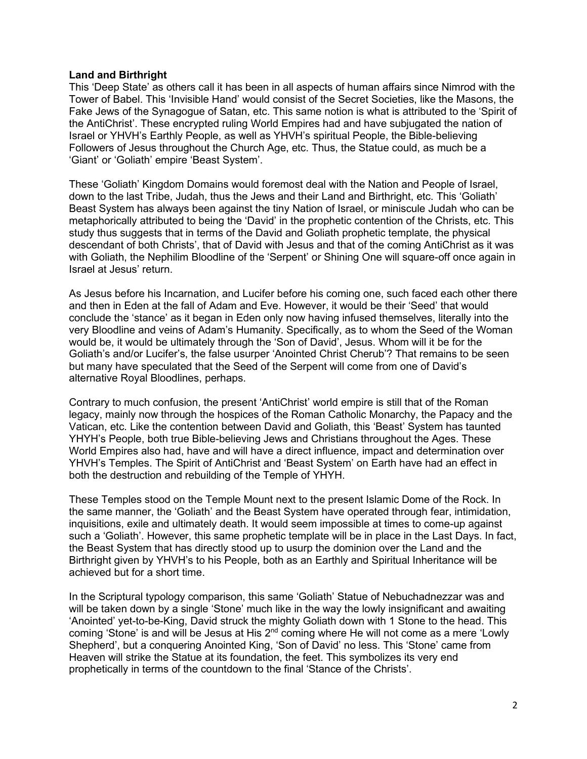## **Land and Birthright**

This 'Deep State' as others call it has been in all aspects of human affairs since Nimrod with the Tower of Babel. This 'Invisible Hand' would consist of the Secret Societies, like the Masons, the Fake Jews of the Synagogue of Satan, etc. This same notion is what is attributed to the 'Spirit of the AntiChrist'. These encrypted ruling World Empires had and have subjugated the nation of Israel or YHVH's Earthly People, as well as YHVH's spiritual People, the Bible-believing Followers of Jesus throughout the Church Age, etc. Thus, the Statue could, as much be a 'Giant' or 'Goliath' empire 'Beast System'.

These 'Goliath' Kingdom Domains would foremost deal with the Nation and People of Israel, down to the last Tribe, Judah, thus the Jews and their Land and Birthright, etc. This 'Goliath' Beast System has always been against the tiny Nation of Israel, or miniscule Judah who can be metaphorically attributed to being the 'David' in the prophetic contention of the Christs, etc. This study thus suggests that in terms of the David and Goliath prophetic template, the physical descendant of both Christs', that of David with Jesus and that of the coming AntiChrist as it was with Goliath, the Nephilim Bloodline of the 'Serpent' or Shining One will square-off once again in Israel at Jesus' return.

As Jesus before his Incarnation, and Lucifer before his coming one, such faced each other there and then in Eden at the fall of Adam and Eve. However, it would be their 'Seed' that would conclude the 'stance' as it began in Eden only now having infused themselves, literally into the very Bloodline and veins of Adam's Humanity. Specifically, as to whom the Seed of the Woman would be, it would be ultimately through the 'Son of David', Jesus. Whom will it be for the Goliath's and/or Lucifer's, the false usurper 'Anointed Christ Cherub'? That remains to be seen but many have speculated that the Seed of the Serpent will come from one of David's alternative Royal Bloodlines, perhaps.

Contrary to much confusion, the present 'AntiChrist' world empire is still that of the Roman legacy, mainly now through the hospices of the Roman Catholic Monarchy, the Papacy and the Vatican, etc. Like the contention between David and Goliath, this 'Beast' System has taunted YHYH's People, both true Bible-believing Jews and Christians throughout the Ages. These World Empires also had, have and will have a direct influence, impact and determination over YHVH's Temples. The Spirit of AntiChrist and 'Beast System' on Earth have had an effect in both the destruction and rebuilding of the Temple of YHYH.

These Temples stood on the Temple Mount next to the present Islamic Dome of the Rock. In the same manner, the 'Goliath' and the Beast System have operated through fear, intimidation, inquisitions, exile and ultimately death. It would seem impossible at times to come-up against such a 'Goliath'. However, this same prophetic template will be in place in the Last Days. In fact, the Beast System that has directly stood up to usurp the dominion over the Land and the Birthright given by YHVH's to his People, both as an Earthly and Spiritual Inheritance will be achieved but for a short time.

In the Scriptural typology comparison, this same 'Goliath' Statue of Nebuchadnezzar was and will be taken down by a single 'Stone' much like in the way the lowly insignificant and awaiting 'Anointed' yet-to-be-King, David struck the mighty Goliath down with 1 Stone to the head. This coming 'Stone' is and will be Jesus at His 2nd coming where He will not come as a mere 'Lowly Shepherd', but a conquering Anointed King, 'Son of David' no less. This 'Stone' came from Heaven will strike the Statue at its foundation, the feet. This symbolizes its very end prophetically in terms of the countdown to the final 'Stance of the Christs'.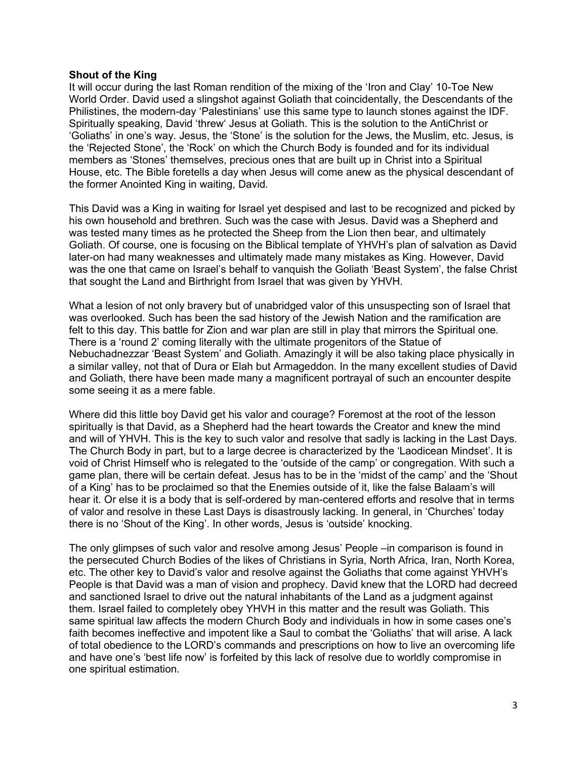#### **Shout of the King**

It will occur during the last Roman rendition of the mixing of the 'Iron and Clay' 10-Toe New World Order. David used a slingshot against Goliath that coincidentally, the Descendants of the Philistines, the modern-day 'Palestinians' use this same type to launch stones against the IDF. Spiritually speaking, David 'threw' Jesus at Goliath. This is the solution to the AntiChrist or 'Goliaths' in one's way. Jesus, the 'Stone' is the solution for the Jews, the Muslim, etc. Jesus, is the 'Rejected Stone', the 'Rock' on which the Church Body is founded and for its individual members as 'Stones' themselves, precious ones that are built up in Christ into a Spiritual House, etc. The Bible foretells a day when Jesus will come anew as the physical descendant of the former Anointed King in waiting, David.

This David was a King in waiting for Israel yet despised and last to be recognized and picked by his own household and brethren. Such was the case with Jesus. David was a Shepherd and was tested many times as he protected the Sheep from the Lion then bear, and ultimately Goliath. Of course, one is focusing on the Biblical template of YHVH's plan of salvation as David later-on had many weaknesses and ultimately made many mistakes as King. However, David was the one that came on Israel's behalf to vanquish the Goliath 'Beast System', the false Christ that sought the Land and Birthright from Israel that was given by YHVH.

What a lesion of not only bravery but of unabridged valor of this unsuspecting son of Israel that was overlooked. Such has been the sad history of the Jewish Nation and the ramification are felt to this day. This battle for Zion and war plan are still in play that mirrors the Spiritual one. There is a 'round 2' coming literally with the ultimate progenitors of the Statue of Nebuchadnezzar 'Beast System' and Goliath. Amazingly it will be also taking place physically in a similar valley, not that of Dura or Elah but Armageddon. In the many excellent studies of David and Goliath, there have been made many a magnificent portrayal of such an encounter despite some seeing it as a mere fable.

Where did this little boy David get his valor and courage? Foremost at the root of the lesson spiritually is that David, as a Shepherd had the heart towards the Creator and knew the mind and will of YHVH. This is the key to such valor and resolve that sadly is lacking in the Last Days. The Church Body in part, but to a large decree is characterized by the 'Laodicean Mindset'. It is void of Christ Himself who is relegated to the 'outside of the camp' or congregation. With such a game plan, there will be certain defeat. Jesus has to be in the 'midst of the camp' and the 'Shout of a King' has to be proclaimed so that the Enemies outside of it, like the false Balaam's will hear it. Or else it is a body that is self-ordered by man-centered efforts and resolve that in terms of valor and resolve in these Last Days is disastrously lacking. In general, in 'Churches' today there is no 'Shout of the King'. In other words, Jesus is 'outside' knocking.

The only glimpses of such valor and resolve among Jesus' People –in comparison is found in the persecuted Church Bodies of the likes of Christians in Syria, North Africa, Iran, North Korea, etc. The other key to David's valor and resolve against the Goliaths that come against YHVH's People is that David was a man of vision and prophecy. David knew that the LORD had decreed and sanctioned Israel to drive out the natural inhabitants of the Land as a judgment against them. Israel failed to completely obey YHVH in this matter and the result was Goliath. This same spiritual law affects the modern Church Body and individuals in how in some cases one's faith becomes ineffective and impotent like a Saul to combat the 'Goliaths' that will arise. A lack of total obedience to the LORD's commands and prescriptions on how to live an overcoming life and have one's 'best life now' is forfeited by this lack of resolve due to worldly compromise in one spiritual estimation.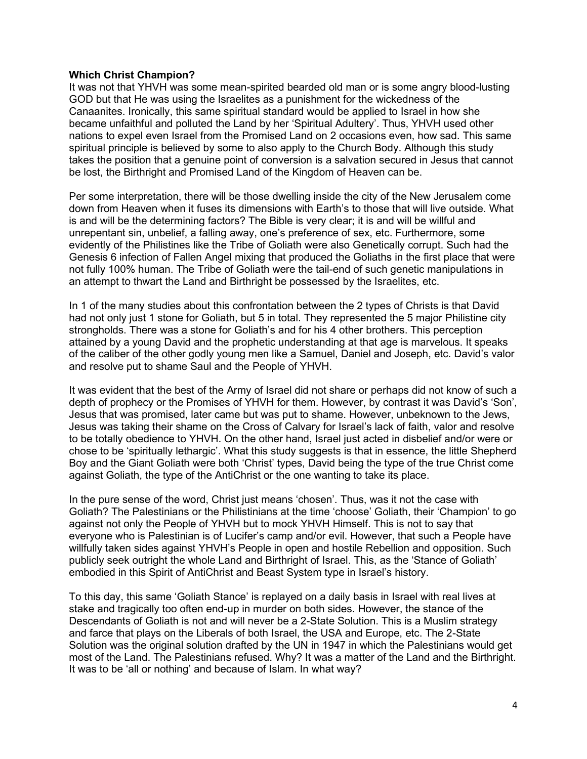## **Which Christ Champion?**

It was not that YHVH was some mean-spirited bearded old man or is some angry blood-lusting GOD but that He was using the Israelites as a punishment for the wickedness of the Canaanites. Ironically, this same spiritual standard would be applied to Israel in how she became unfaithful and polluted the Land by her 'Spiritual Adultery'. Thus, YHVH used other nations to expel even Israel from the Promised Land on 2 occasions even, how sad. This same spiritual principle is believed by some to also apply to the Church Body. Although this study takes the position that a genuine point of conversion is a salvation secured in Jesus that cannot be lost, the Birthright and Promised Land of the Kingdom of Heaven can be.

Per some interpretation, there will be those dwelling inside the city of the New Jerusalem come down from Heaven when it fuses its dimensions with Earth's to those that will live outside. What is and will be the determining factors? The Bible is very clear; it is and will be willful and unrepentant sin, unbelief, a falling away, one's preference of sex, etc. Furthermore, some evidently of the Philistines like the Tribe of Goliath were also Genetically corrupt. Such had the Genesis 6 infection of Fallen Angel mixing that produced the Goliaths in the first place that were not fully 100% human. The Tribe of Goliath were the tail-end of such genetic manipulations in an attempt to thwart the Land and Birthright be possessed by the Israelites, etc.

In 1 of the many studies about this confrontation between the 2 types of Christs is that David had not only just 1 stone for Goliath, but 5 in total. They represented the 5 major Philistine city strongholds. There was a stone for Goliath's and for his 4 other brothers. This perception attained by a young David and the prophetic understanding at that age is marvelous. It speaks of the caliber of the other godly young men like a Samuel, Daniel and Joseph, etc. David's valor and resolve put to shame Saul and the People of YHVH.

It was evident that the best of the Army of Israel did not share or perhaps did not know of such a depth of prophecy or the Promises of YHVH for them. However, by contrast it was David's 'Son', Jesus that was promised, later came but was put to shame. However, unbeknown to the Jews, Jesus was taking their shame on the Cross of Calvary for Israel's lack of faith, valor and resolve to be totally obedience to YHVH. On the other hand, Israel just acted in disbelief and/or were or chose to be 'spiritually lethargic'. What this study suggests is that in essence, the little Shepherd Boy and the Giant Goliath were both 'Christ' types, David being the type of the true Christ come against Goliath, the type of the AntiChrist or the one wanting to take its place.

In the pure sense of the word, Christ just means 'chosen'. Thus, was it not the case with Goliath? The Palestinians or the Philistinians at the time 'choose' Goliath, their 'Champion' to go against not only the People of YHVH but to mock YHVH Himself. This is not to say that everyone who is Palestinian is of Lucifer's camp and/or evil. However, that such a People have willfully taken sides against YHVH's People in open and hostile Rebellion and opposition. Such publicly seek outright the whole Land and Birthright of Israel. This, as the 'Stance of Goliath' embodied in this Spirit of AntiChrist and Beast System type in Israel's history.

To this day, this same 'Goliath Stance' is replayed on a daily basis in Israel with real lives at stake and tragically too often end-up in murder on both sides. However, the stance of the Descendants of Goliath is not and will never be a 2-State Solution. This is a Muslim strategy and farce that plays on the Liberals of both Israel, the USA and Europe, etc. The 2-State Solution was the original solution drafted by the UN in 1947 in which the Palestinians would get most of the Land. The Palestinians refused. Why? It was a matter of the Land and the Birthright. It was to be 'all or nothing' and because of Islam. In what way?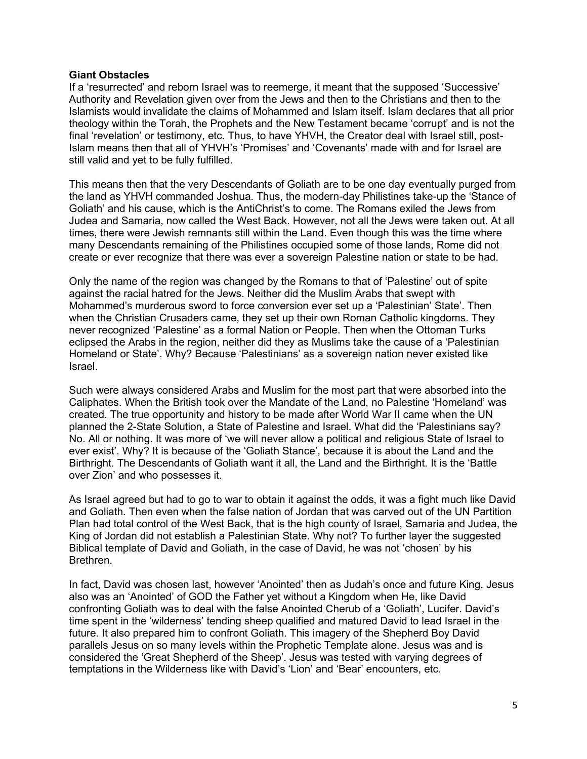## **Giant Obstacles**

If a 'resurrected' and reborn Israel was to reemerge, it meant that the supposed 'Successive' Authority and Revelation given over from the Jews and then to the Christians and then to the Islamists would invalidate the claims of Mohammed and Islam itself. Islam declares that all prior theology within the Torah, the Prophets and the New Testament became 'corrupt' and is not the final 'revelation' or testimony, etc. Thus, to have YHVH, the Creator deal with Israel still, post-Islam means then that all of YHVH's 'Promises' and 'Covenants' made with and for Israel are still valid and yet to be fully fulfilled.

This means then that the very Descendants of Goliath are to be one day eventually purged from the land as YHVH commanded Joshua. Thus, the modern-day Philistines take-up the 'Stance of Goliath' and his cause, which is the AntiChrist's to come. The Romans exiled the Jews from Judea and Samaria, now called the West Back. However, not all the Jews were taken out. At all times, there were Jewish remnants still within the Land. Even though this was the time where many Descendants remaining of the Philistines occupied some of those lands, Rome did not create or ever recognize that there was ever a sovereign Palestine nation or state to be had.

Only the name of the region was changed by the Romans to that of 'Palestine' out of spite against the racial hatred for the Jews. Neither did the Muslim Arabs that swept with Mohammed's murderous sword to force conversion ever set up a 'Palestinian' State'. Then when the Christian Crusaders came, they set up their own Roman Catholic kingdoms. They never recognized 'Palestine' as a formal Nation or People. Then when the Ottoman Turks eclipsed the Arabs in the region, neither did they as Muslims take the cause of a 'Palestinian Homeland or State'. Why? Because 'Palestinians' as a sovereign nation never existed like Israel.

Such were always considered Arabs and Muslim for the most part that were absorbed into the Caliphates. When the British took over the Mandate of the Land, no Palestine 'Homeland' was created. The true opportunity and history to be made after World War II came when the UN planned the 2-State Solution, a State of Palestine and Israel. What did the 'Palestinians say? No. All or nothing. It was more of 'we will never allow a political and religious State of Israel to ever exist'. Why? It is because of the 'Goliath Stance', because it is about the Land and the Birthright. The Descendants of Goliath want it all, the Land and the Birthright. It is the 'Battle over Zion' and who possesses it.

As Israel agreed but had to go to war to obtain it against the odds, it was a fight much like David and Goliath. Then even when the false nation of Jordan that was carved out of the UN Partition Plan had total control of the West Back, that is the high county of Israel, Samaria and Judea, the King of Jordan did not establish a Palestinian State. Why not? To further layer the suggested Biblical template of David and Goliath, in the case of David, he was not 'chosen' by his Brethren.

In fact, David was chosen last, however 'Anointed' then as Judah's once and future King. Jesus also was an 'Anointed' of GOD the Father yet without a Kingdom when He, like David confronting Goliath was to deal with the false Anointed Cherub of a 'Goliath', Lucifer. David's time spent in the 'wilderness' tending sheep qualified and matured David to lead Israel in the future. It also prepared him to confront Goliath. This imagery of the Shepherd Boy David parallels Jesus on so many levels within the Prophetic Template alone. Jesus was and is considered the 'Great Shepherd of the Sheep'. Jesus was tested with varying degrees of temptations in the Wilderness like with David's 'Lion' and 'Bear' encounters, etc.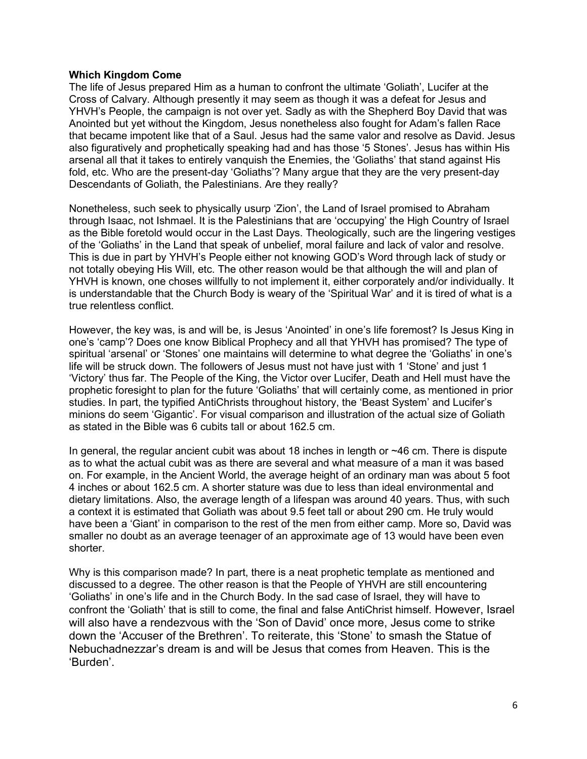## **Which Kingdom Come**

The life of Jesus prepared Him as a human to confront the ultimate 'Goliath', Lucifer at the Cross of Calvary. Although presently it may seem as though it was a defeat for Jesus and YHVH's People, the campaign is not over yet. Sadly as with the Shepherd Boy David that was Anointed but yet without the Kingdom, Jesus nonetheless also fought for Adam's fallen Race that became impotent like that of a Saul. Jesus had the same valor and resolve as David. Jesus also figuratively and prophetically speaking had and has those '5 Stones'. Jesus has within His arsenal all that it takes to entirely vanquish the Enemies, the 'Goliaths' that stand against His fold, etc. Who are the present-day 'Goliaths'? Many argue that they are the very present-day Descendants of Goliath, the Palestinians. Are they really?

Nonetheless, such seek to physically usurp 'Zion', the Land of Israel promised to Abraham through Isaac, not Ishmael. It is the Palestinians that are 'occupying' the High Country of Israel as the Bible foretold would occur in the Last Days. Theologically, such are the lingering vestiges of the 'Goliaths' in the Land that speak of unbelief, moral failure and lack of valor and resolve. This is due in part by YHVH's People either not knowing GOD's Word through lack of study or not totally obeying His Will, etc. The other reason would be that although the will and plan of YHVH is known, one choses willfully to not implement it, either corporately and/or individually. It is understandable that the Church Body is weary of the 'Spiritual War' and it is tired of what is a true relentless conflict.

However, the key was, is and will be, is Jesus 'Anointed' in one's life foremost? Is Jesus King in one's 'camp'? Does one know Biblical Prophecy and all that YHVH has promised? The type of spiritual 'arsenal' or 'Stones' one maintains will determine to what degree the 'Goliaths' in one's life will be struck down. The followers of Jesus must not have just with 1 'Stone' and just 1 'Victory' thus far. The People of the King, the Victor over Lucifer, Death and Hell must have the prophetic foresight to plan for the future 'Goliaths' that will certainly come, as mentioned in prior studies. In part, the typified AntiChrists throughout history, the 'Beast System' and Lucifer's minions do seem 'Gigantic'. For visual comparison and illustration of the actual size of Goliath as stated in the Bible was 6 cubits tall or about 162.5 cm.

In general, the regular ancient cubit was about 18 inches in length or  $\sim$ 46 cm. There is dispute as to what the actual cubit was as there are several and what measure of a man it was based on. For example, in the Ancient World, the average height of an ordinary man was about 5 foot 4 inches or about 162.5 cm. A shorter stature was due to less than ideal environmental and dietary limitations. Also, the average length of a lifespan was around 40 years. Thus, with such a context it is estimated that Goliath was about 9.5 feet tall or about 290 cm. He truly would have been a 'Giant' in comparison to the rest of the men from either camp. More so, David was smaller no doubt as an average teenager of an approximate age of 13 would have been even shorter.

Why is this comparison made? In part, there is a neat prophetic template as mentioned and discussed to a degree. The other reason is that the People of YHVH are still encountering 'Goliaths' in one's life and in the Church Body. In the sad case of Israel, they will have to confront the 'Goliath' that is still to come, the final and false AntiChrist himself. However, Israel will also have a rendezvous with the 'Son of David' once more, Jesus come to strike down the 'Accuser of the Brethren'. To reiterate, this 'Stone' to smash the Statue of Nebuchadnezzar's dream is and will be Jesus that comes from Heaven. This is the 'Burden'.